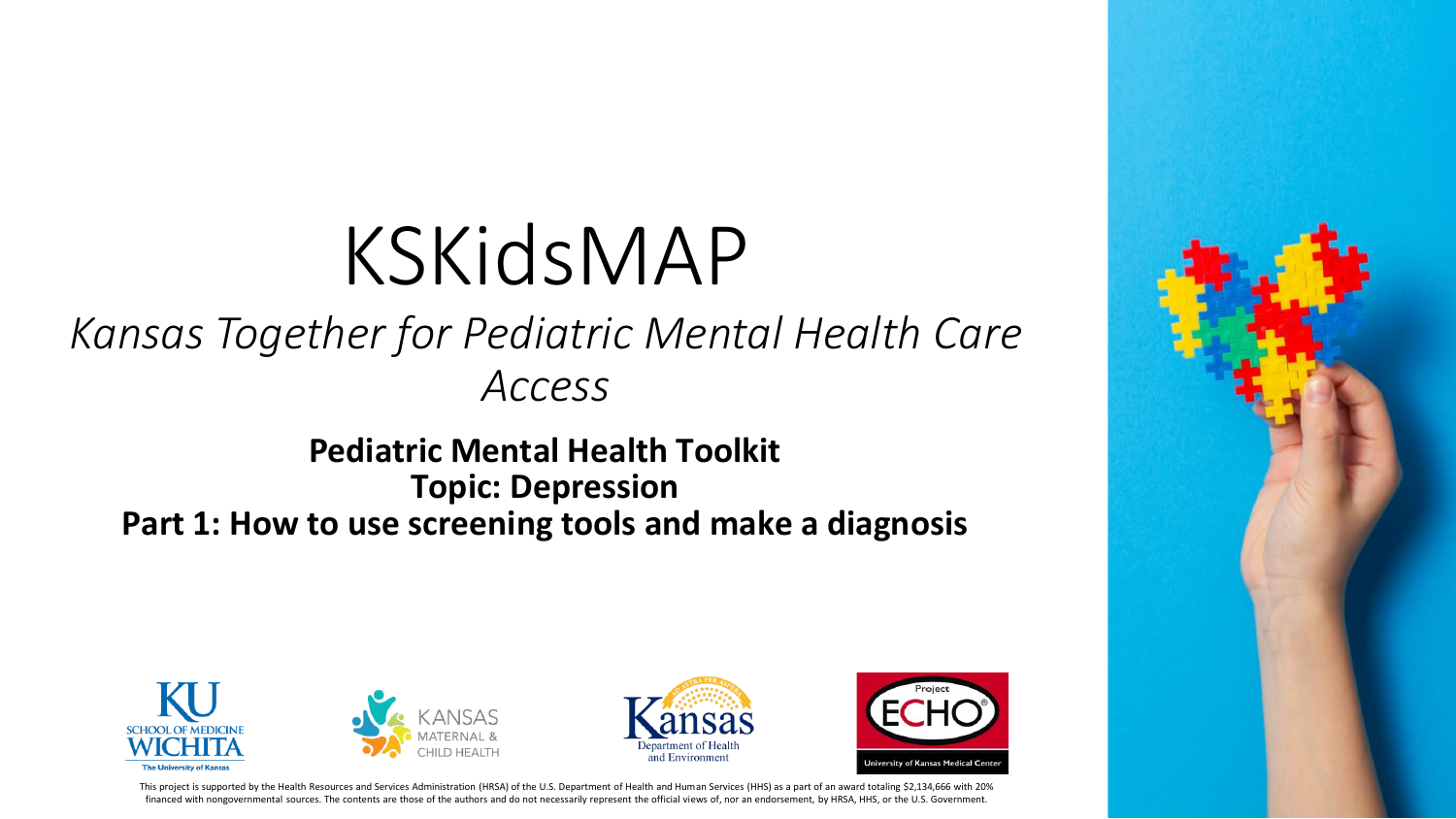# KSKidsMAP

#### *Kansas Together for Pediatric Mental Health Care Access*

**Pediatric Mental Health Toolkit Topic: Depression Part 1: How to use screening tools and make a diagnosis**









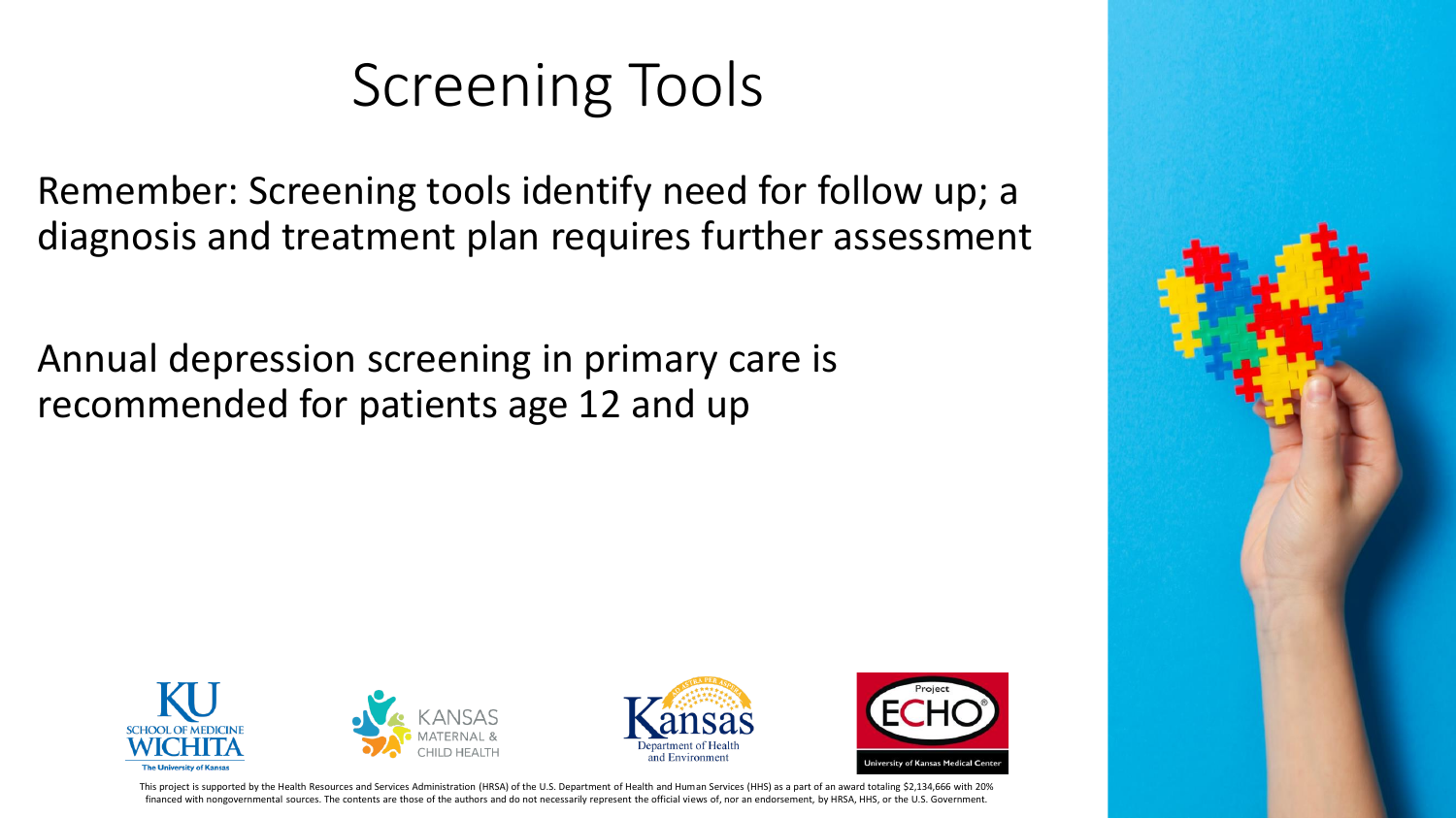### Screening Tools

Remember: Screening tools identify need for follow up; a diagnosis and treatment plan requires further assessment

Annual depression screening in primary care is recommended for patients age 12 and up









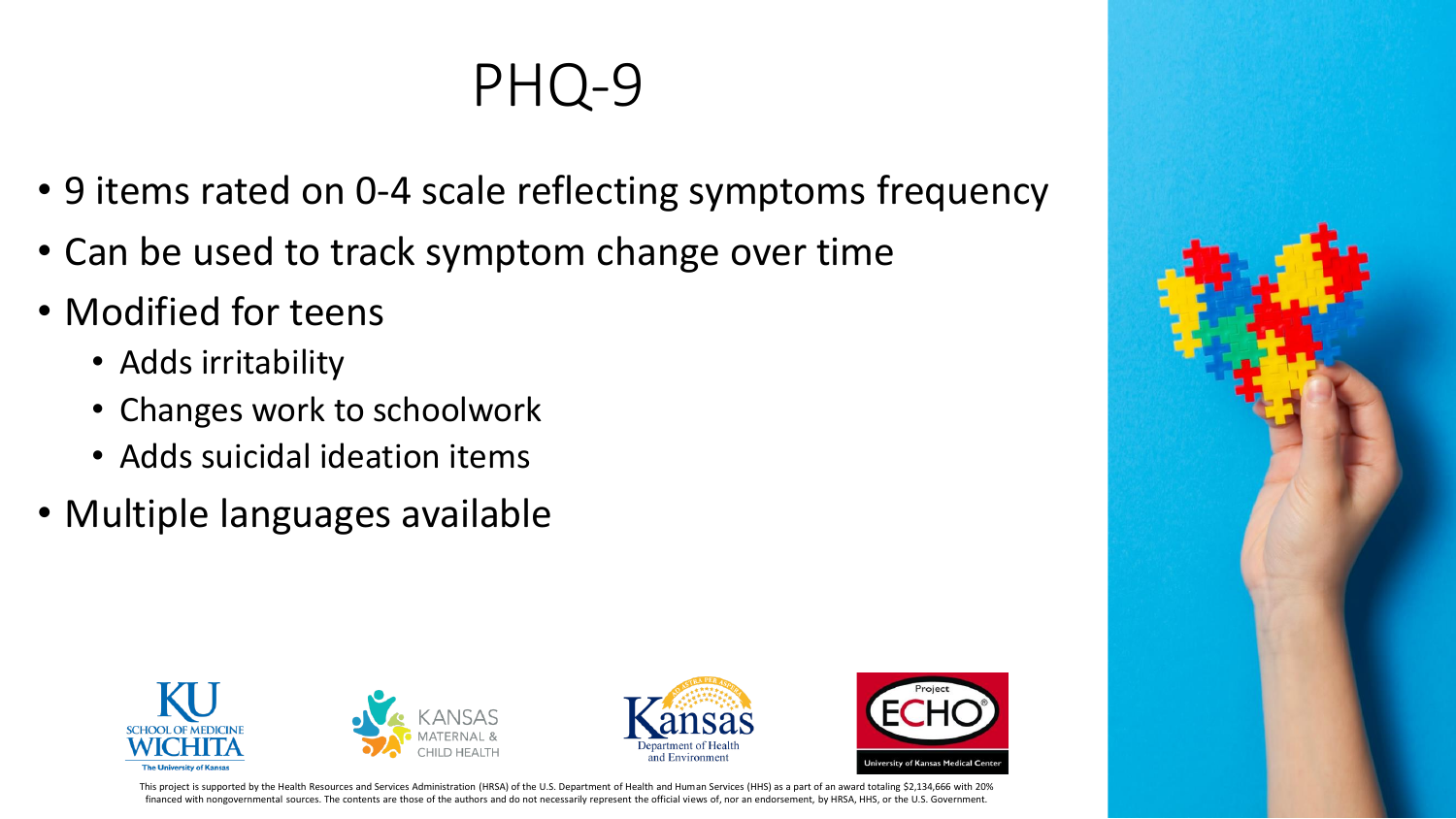### PHQ-9

- 9 items rated on 0-4 scale reflecting symptoms frequency
- Can be used to track symptom change over time
- Modified for teens
	- Adds irritability
	- Changes work to schoolwork
	- Adds suicidal ideation items
- Multiple languages available









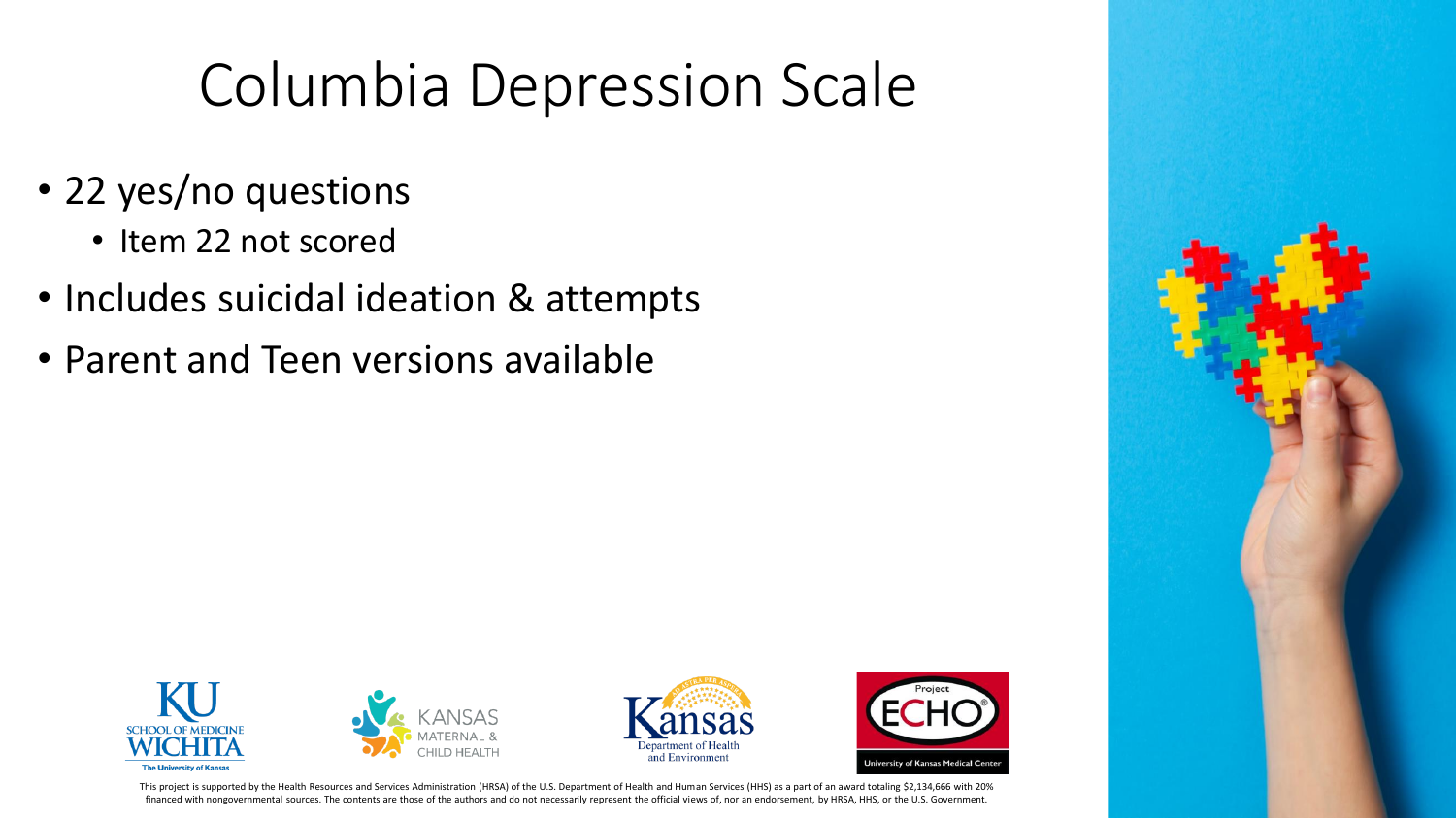### Columbia Depression Scale

- 22 yes/no questions
	- Item 22 not scored
- Includes suicidal ideation & attempts
- Parent and Teen versions available









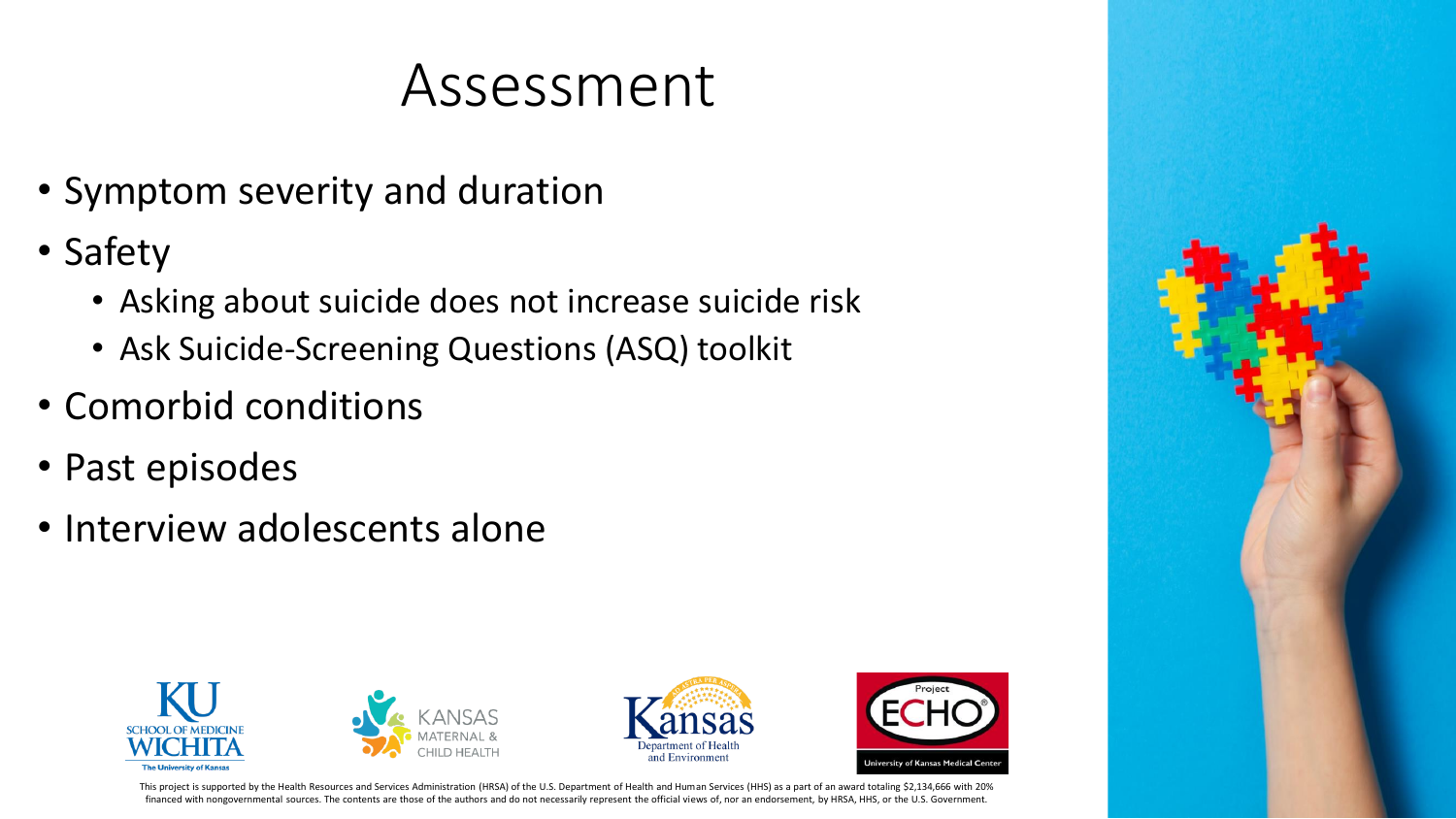### Assessment

- Symptom severity and duration
- Safety
	- Asking about suicide does not increase suicide risk
	- Ask Suicide-Screening Questions (ASQ) toolkit
- Comorbid conditions
- Past episodes
- Interview adolescents alone









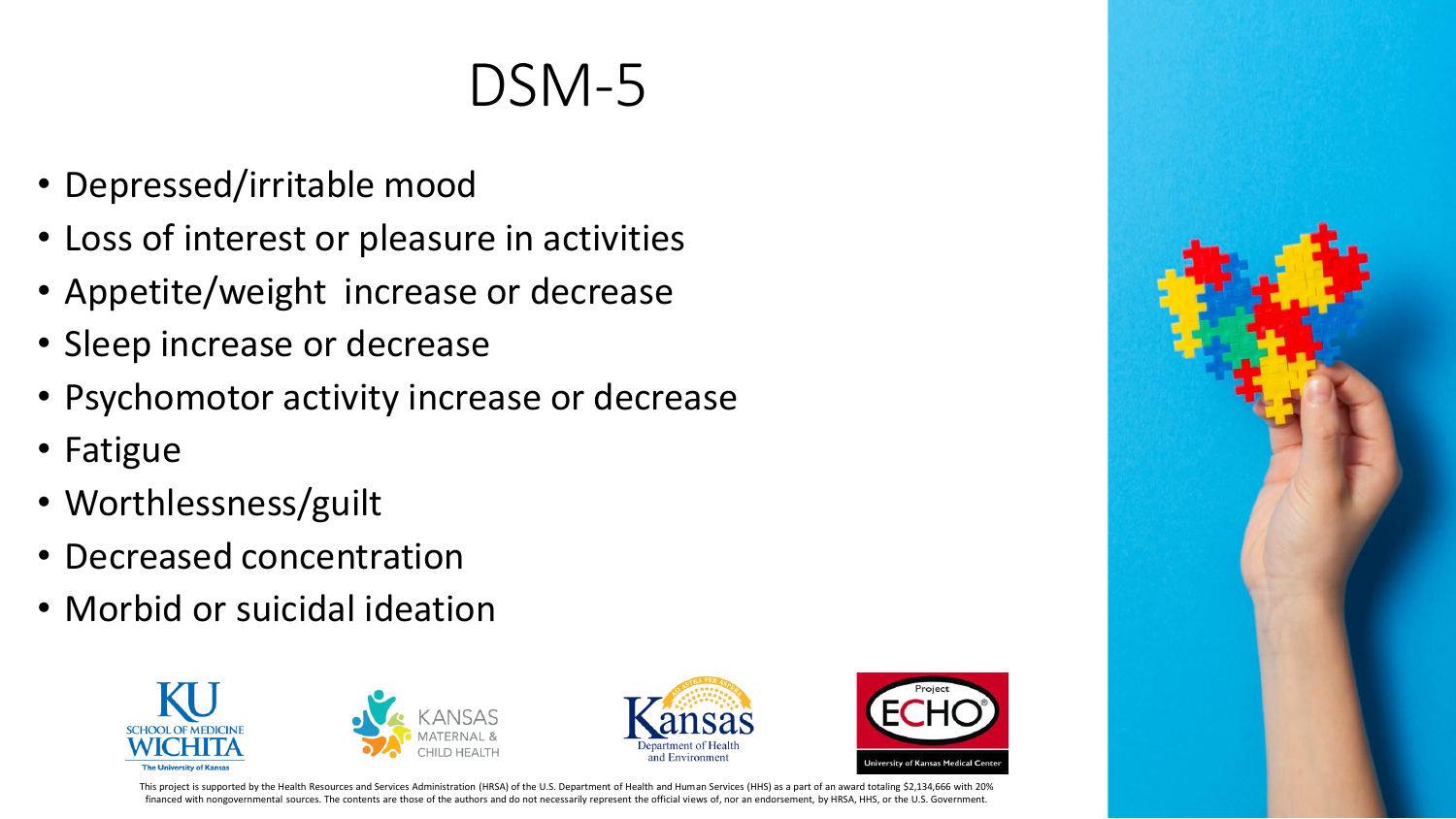### DSM-5

- Depressed/irritable mood
- Loss of interest or pleasure in activities
- Appetite/weight increase or decrease
- Sleep increase or decrease
- Psychomotor activity increase or decrease
- Fatigue
- Worthlessness/guilt
- Decreased concentration
- Morbid or suicidal ideation









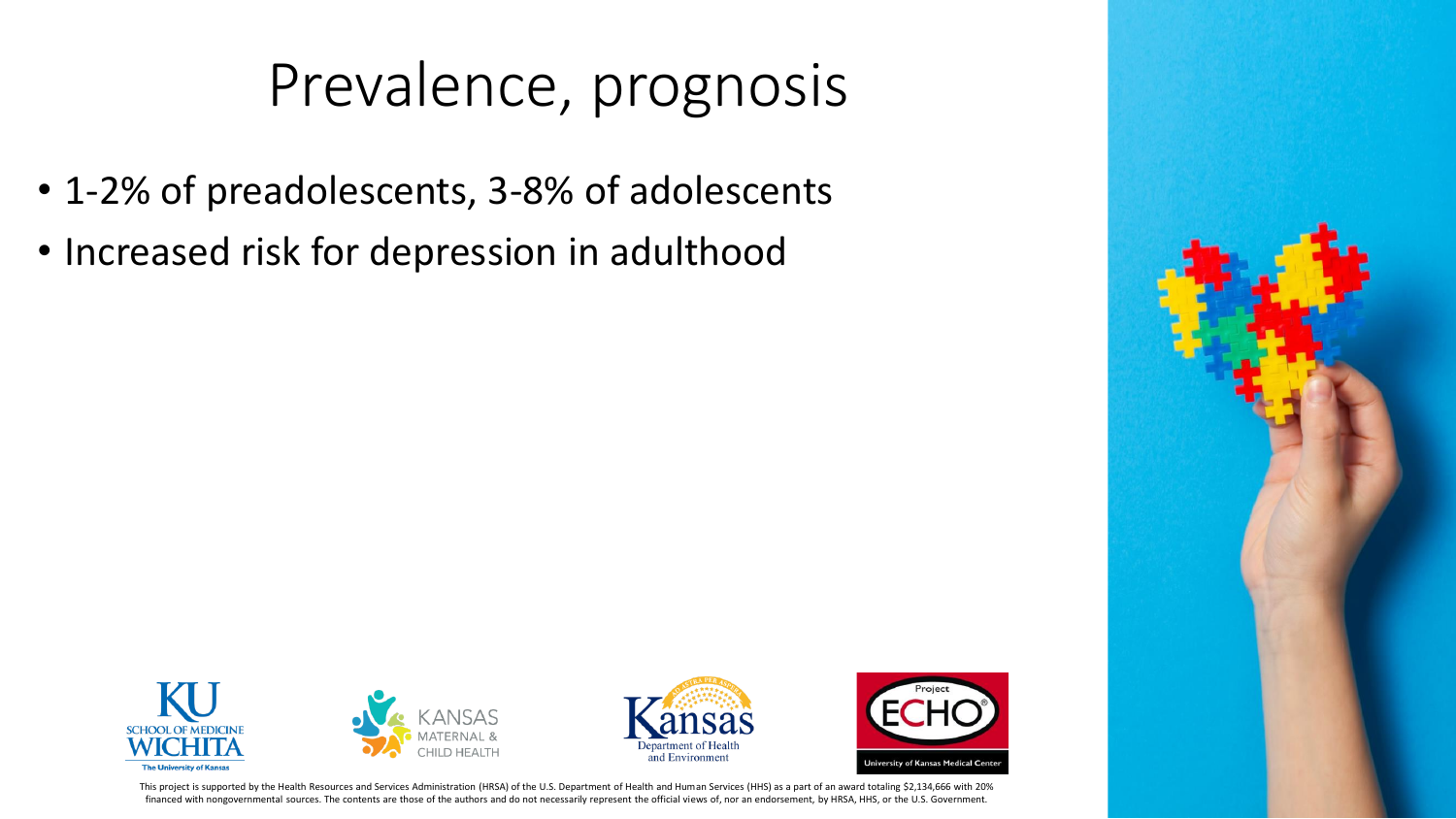### Prevalence, prognosis

- 1-2% of preadolescents, 3-8% of adolescents
- Increased risk for depression in adulthood







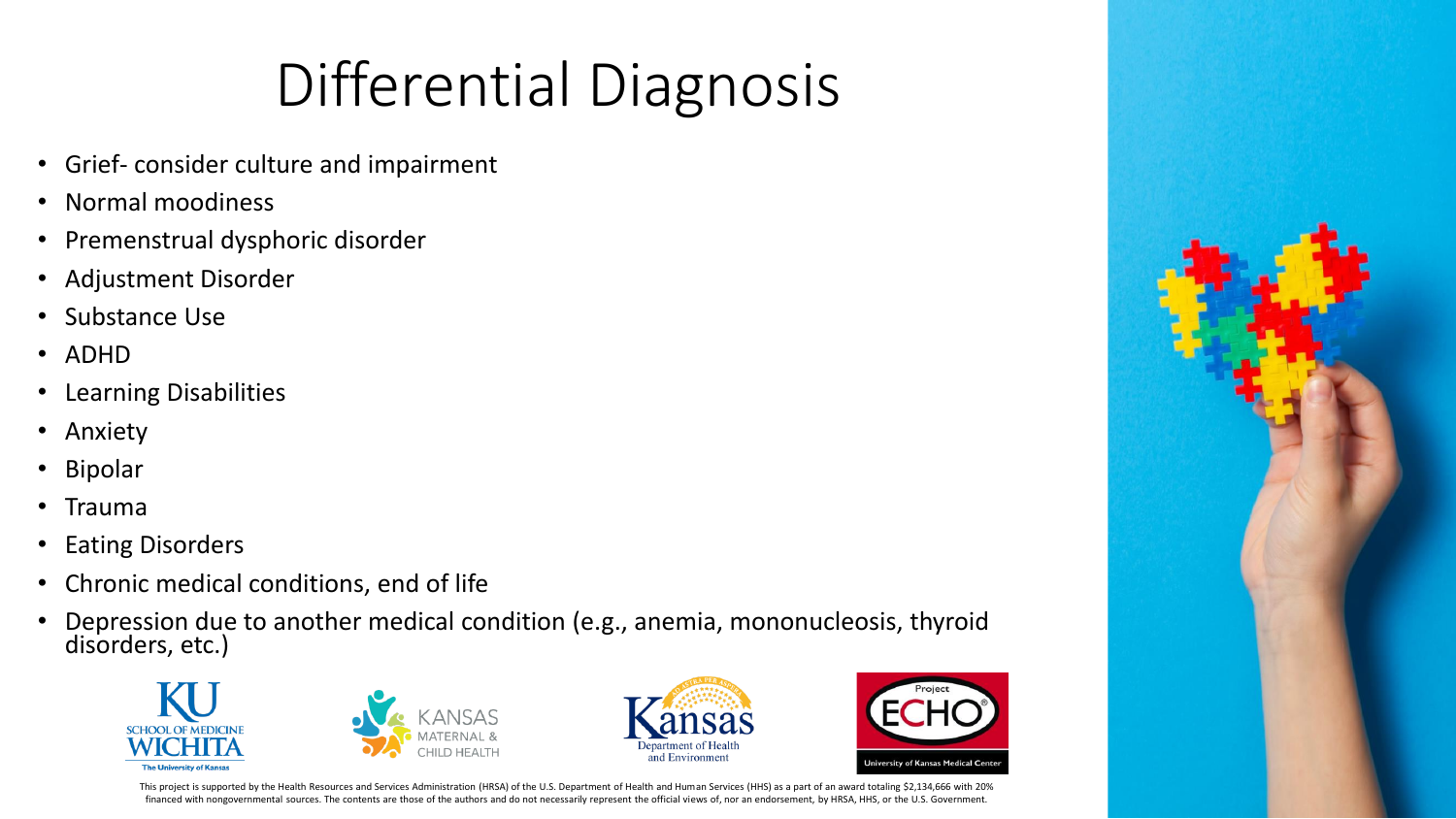## Differential Diagnosis

- Grief- consider culture and impairment
- Normal moodiness
- Premenstrual dysphoric disorder
- Adjustment Disorder
- Substance Use
- ADHD
- Learning Disabilities
- Anxiety
- Bipolar
- Trauma
- Eating Disorders
- Chronic medical conditions, end of life
- Depression due to another medical condition (e.g., anemia, mononucleosis, thyroid disorders, etc.)